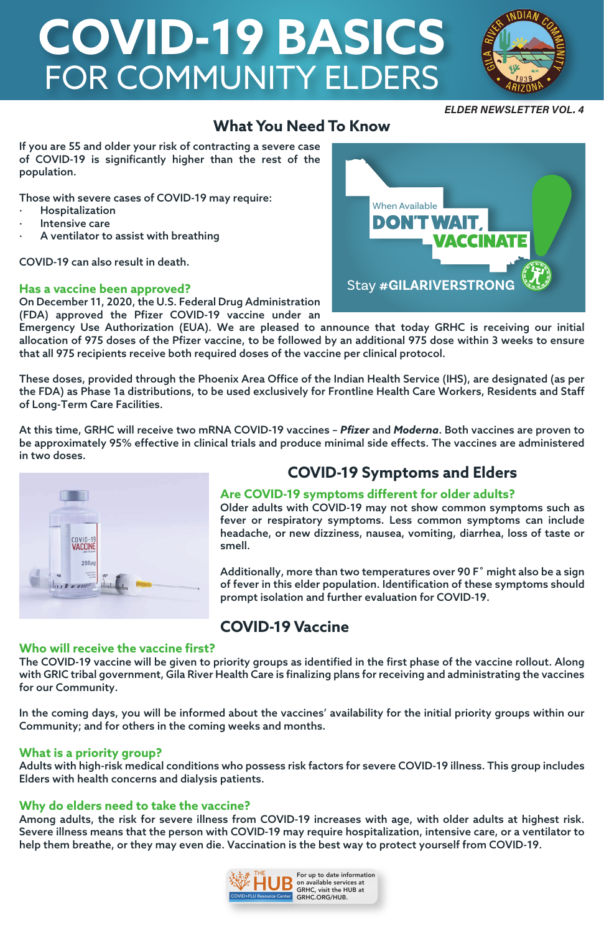## **What You Need To Know**

If you are 55 and older your risk of contracting a severe case of COVID-19 is significantly higher than the rest of the population.

Those with severe cases of COVID-19 may require:

- **Hospitalization**
- Intensive care
- A ventilator to assist with breathing

COVID-19 can also result in death.

#### **Has a vaccine been approved?**

On December 11, 2020, the U.S. Federal Drug Administration (FDA) approved the Pfizer COVID-19 vaccine under an

Emergency Use Authorization (EUA). We are pleased to announce that today GRHC is receiving our initial allocation of 975 doses of the Pfizer vaccine, to be followed by an additional 975 dose within 3 weeks to ensure that all 975 recipients receive both required doses of the vaccine per clinical protocol.

These doses, provided through the Phoenix Area Office of the Indian Health Service (IHS), are designated (as per the FDA) as Phase 1a distributions, to be used exclusively for Frontline Health Care Workers, Residents and Staff of Long-Term Care Facilities.

At this time, GRHC will receive two mRNA COVID-19 vaccines – *Pfizer* and *Moderna*. Both vaccines are proven to be approximately 95% effective in clinical trials and produce minimal side effects. The vaccines are administered in two doses.



## **COVID-19 Symptoms and Elders**

#### **Are COVID-19 symptoms different for older adults?**

Older adults with COVID-19 may not show common symptoms such as fever or respiratory symptoms. Less common symptoms can include headache, or new dizziness, nausea, vomiting, diarrhea, loss of taste or smell.

Additionally, more than two temperatures over 90 F˚ might also be a sign of fever in this elder population. Identification of these symptoms should prompt isolation and further evaluation for COVID-19.

## **COVID-19 Vaccine**

#### **Who will receive the vaccine first?**

The COVID-19 vaccine will be given to priority groups as identified in the first phase of the vaccine rollout. Along with GRIC tribal government, Gila River Health Care is finalizing plans for receiving and administrating the vaccines

#### for our Community.

In the coming days, you will be informed about the vaccines' availability for the initial priority groups within our Community; and for others in the coming weeks and months.

#### **What is a priority group?**

Adults with high-risk medical conditions who possess risk factors for severe COVID-19 illness. This group includes Elders with health concerns and dialysis patients.

#### **Why do elders need to take the vaccine?**

Among adults, the risk for severe illness from COVID-19 increases with age, with older adults at highest risk. Severe illness means that the person with COVID-19 may require hospitalization, intensive care, or a ventilator to help them breathe, or they may even die. Vaccination is the best way to protect yourself from COVID-19.

# **COVID-19 BASICS**  FOR COMMUNITY ELDERS



#### **ELDER NEWSLETTER VOL. 4**